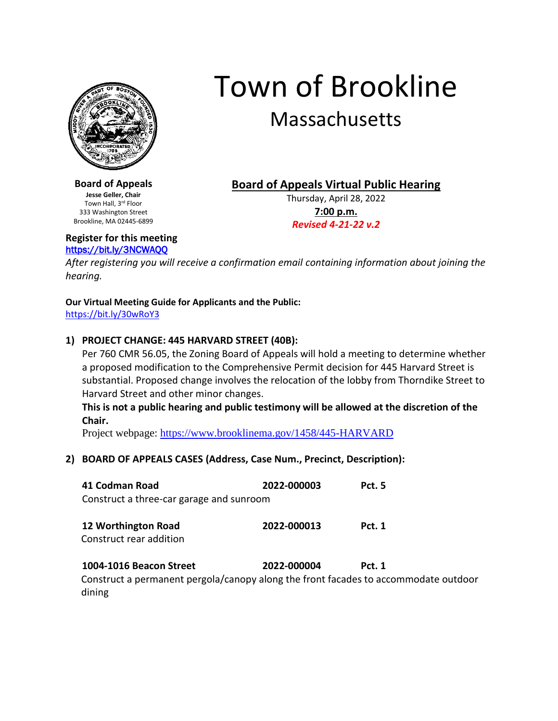

# Town of Brookline Massachusetts

**Board of Appeals Jesse Geller, Chair** Town Hall, 3rd Floor 333 Washington Street Brookline, MA 02445-6899 **Board of Appeals Virtual Public Hearing**

Thursday, April 28, 2022 **7:00 p.m.** *Revised 4-21-22 v.2*

**Register for this meeting** <https://bit.ly/3NCWAQQ>

*After registering you will receive a confirmation email containing information about joining the hearing.*

### **Our Virtual Meeting Guide for Applicants and the Public:**

<https://bit.ly/30wRoY3>

## **1) PROJECT CHANGE: 445 HARVARD STREET (40B):**

Per 760 CMR 56.05, the Zoning Board of Appeals will hold a meeting to determine whether a proposed modification to the Comprehensive Permit decision for 445 Harvard Street is substantial. Proposed change involves the relocation of the lobby from Thorndike Street to Harvard Street and other minor changes.

**This is not a public hearing and public testimony will be allowed at the discretion of the Chair.**

Project webpage:<https://www.brooklinema.gov/1458/445-HARVARD>

# **2) BOARD OF APPEALS CASES (Address, Case Num., Precinct, Description):**

| 41 Codman Road<br>Construct a three-car garage and sunroom                                                     | 2022-000003 | <b>Pct. 5</b> |
|----------------------------------------------------------------------------------------------------------------|-------------|---------------|
| 12 Worthington Road<br>Construct rear addition                                                                 | 2022-000013 | <b>Pct. 1</b> |
| 1004-1016 Beacon Street<br>Construct a permanent pergola/canopy along the front facades to accommodate outdoor | 2022-000004 | <b>Pct. 1</b> |

dining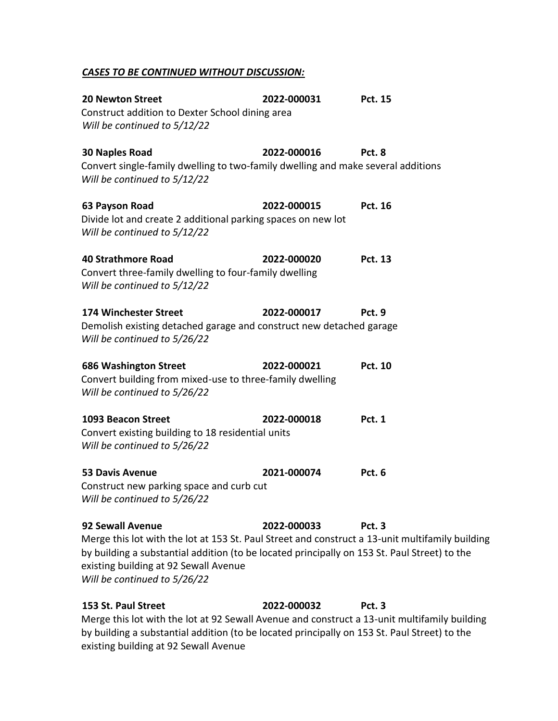### *CASES TO BE CONTINUED WITHOUT DISCUSSION:*

| <b>20 Newton Street</b><br>Construct addition to Dexter School dining area<br>Will be continued to $5/12/22$                                                                                                                                                                                 | 2022-000031 | Pct. 15        |
|----------------------------------------------------------------------------------------------------------------------------------------------------------------------------------------------------------------------------------------------------------------------------------------------|-------------|----------------|
| <b>30 Naples Road</b><br>Convert single-family dwelling to two-family dwelling and make several additions<br>Will be continued to 5/12/22                                                                                                                                                    | 2022-000016 | Pct. 8         |
| 63 Payson Road<br>Divide lot and create 2 additional parking spaces on new lot<br>Will be continued to 5/12/22                                                                                                                                                                               | 2022-000015 | <b>Pct. 16</b> |
| <b>40 Strathmore Road</b><br>Convert three-family dwelling to four-family dwelling<br>Will be continued to 5/12/22                                                                                                                                                                           | 2022-000020 | <b>Pct. 13</b> |
| <b>174 Winchester Street</b><br>Demolish existing detached garage and construct new detached garage<br>Will be continued to 5/26/22                                                                                                                                                          | 2022-000017 | Pct. 9         |
| <b>686 Washington Street</b><br>Convert building from mixed-use to three-family dwelling<br>Will be continued to 5/26/22                                                                                                                                                                     | 2022-000021 | <b>Pct. 10</b> |
| 1093 Beacon Street<br>Convert existing building to 18 residential units<br>Will be continued to 5/26/22                                                                                                                                                                                      | 2022-000018 | <b>Pct. 1</b>  |
| <b>53 Davis Avenue</b><br>Construct new parking space and curb cut<br>Will be continued to 5/26/22                                                                                                                                                                                           | 2021-000074 | Pct. 6         |
| 92 Sewall Avenue<br>Merge this lot with the lot at 153 St. Paul Street and construct a 13-unit multifamily building<br>by building a substantial addition (to be located principally on 153 St. Paul Street) to the<br>existing building at 92 Sewall Avenue<br>Will be continued to 5/26/22 | 2022-000033 | Pct. 3         |

**153 St. Paul Street 2022-000032 Pct. 3** Merge this lot with the lot at 92 Sewall Avenue and construct a 13-unit multifamily building by building a substantial addition (to be located principally on 153 St. Paul Street) to the existing building at 92 Sewall Avenue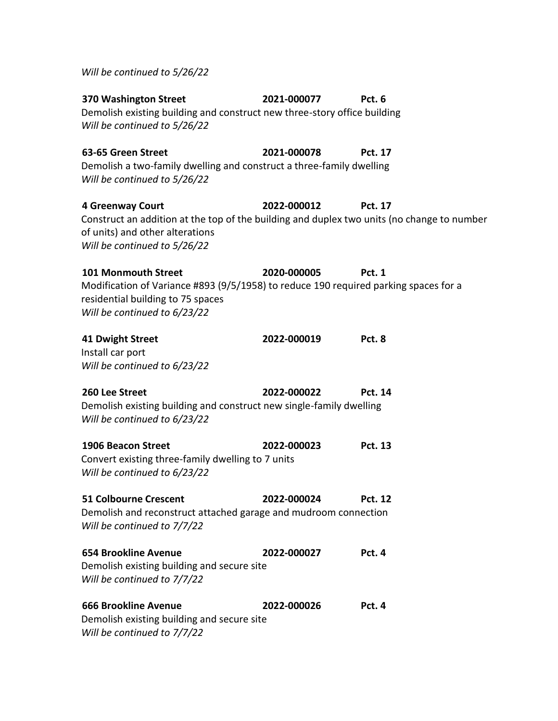*Will be continued to 5/26/22* **370 Washington Street 2021-000077 Pct. 6** Demolish existing building and construct new three-story office building *Will be continued to 5/26/22* **63-65 Green Street 2021-000078 Pct. 17** Demolish a two-family dwelling and construct a three-family dwelling *Will be continued to 5/26/22* **4 Greenway Court 2022-000012 Pct. 17** Construct an addition at the top of the building and duplex two units (no change to number of units) and other alterations *Will be continued to 5/26/22* **101 Monmouth Street 2020-000005 Pct. 1** Modification of Variance #893 (9/5/1958) to reduce 190 required parking spaces for a residential building to 75 spaces *Will be continued to 6/23/22* **41 Dwight Street 2022-000019 Pct. 8** Install car port *Will be continued to 6/23/22* **260 Lee Street 2022-000022 Pct. 14** Demolish existing building and construct new single-family dwelling *Will be continued to 6/23/22* **1906 Beacon Street 2022-000023 Pct. 13** Convert existing three-family dwelling to 7 units *Will be continued to 6/23/22*

**51 Colbourne Crescent 2022-000024 Pct. 12** Demolish and reconstruct attached garage and mudroom connection *Will be continued to 7/7/22*

**654 Brookline Avenue 2022-000027 Pct. 4** Demolish existing building and secure site *Will be continued to 7/7/22*

**666 Brookline Avenue 2022-000026 Pct. 4** Demolish existing building and secure site *Will be continued to 7/7/22*